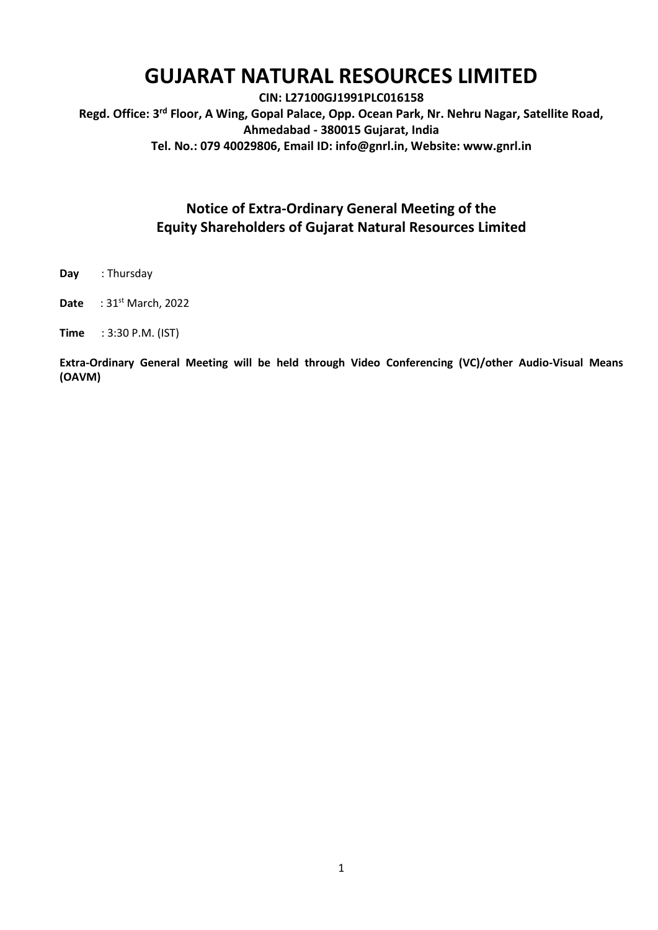# **GUJARAT NATURAL RESOURCES LIMITED**

**CIN: L27100GJ1991PLC016158 Regd. Office: 3 rd Floor, A Wing, Gopal Palace, Opp. Ocean Park, Nr. Nehru Nagar, Satellite Road, Ahmedabad - 380015 Gujarat, India Tel. No.: 079 40029806, Email ID: info@gnrl.in, Website: www.gnrl.in** 

# **Notice of Extra-Ordinary General Meeting of the Equity Shareholders of Gujarat Natural Resources Limited**

- **Day** : Thursday
- **Date** : 31<sup>st</sup> March, 2022

**Time** : 3:30 P.M. (IST)

**Extra-Ordinary General Meeting will be held through Video Conferencing (VC)/other Audio-Visual Means (OAVM)**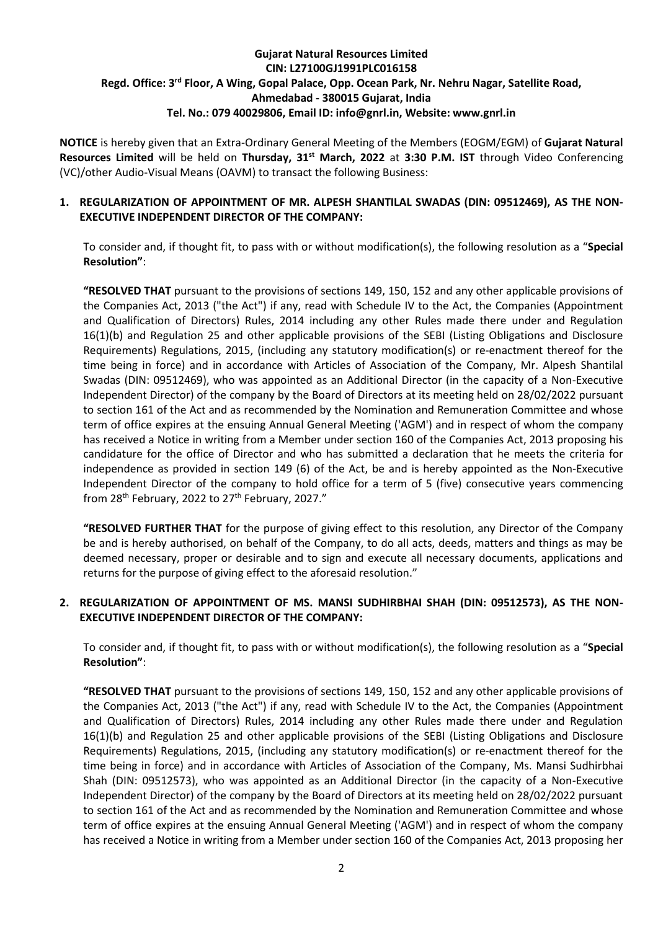# **Gujarat Natural Resources Limited CIN: L27100GJ1991PLC016158** Regd. Office: 3<sup>rd</sup> Floor, A Wing, Gopal Palace, Opp. Ocean Park, Nr. Nehru Nagar, Satellite Road, **Ahmedabad - 380015 Gujarat, India Tel. No.: 079 40029806, Email ID: info@gnrl.in, Website: www.gnrl.in**

**NOTICE** is hereby given that an Extra-Ordinary General Meeting of the Members (EOGM/EGM) of **Gujarat Natural Resources Limited** will be held on **Thursday, 31st March, 2022** at **3:30 P.M. IST** through Video Conferencing (VC)/other Audio-Visual Means (OAVM) to transact the following Business:

# **1. REGULARIZATION OF APPOINTMENT OF MR. ALPESH SHANTILAL SWADAS (DIN: 09512469), AS THE NON-EXECUTIVE INDEPENDENT DIRECTOR OF THE COMPANY:**

To consider and, if thought fit, to pass with or without modification(s), the following resolution as a "**Special Resolution"**:

**"RESOLVED THAT** pursuant to the provisions of sections 149, 150, 152 and any other applicable provisions of the Companies Act, 2013 ("the Act") if any, read with Schedule IV to the Act, the Companies (Appointment and Qualification of Directors) Rules, 2014 including any other Rules made there under and Regulation 16(1)(b) and Regulation 25 and other applicable provisions of the SEBI (Listing Obligations and Disclosure Requirements) Regulations, 2015, (including any statutory modification(s) or re-enactment thereof for the time being in force) and in accordance with Articles of Association of the Company, Mr. Alpesh Shantilal Swadas (DIN: 09512469), who was appointed as an Additional Director (in the capacity of a Non-Executive Independent Director) of the company by the Board of Directors at its meeting held on 28/02/2022 pursuant to section 161 of the Act and as recommended by the Nomination and Remuneration Committee and whose term of office expires at the ensuing Annual General Meeting ('AGM') and in respect of whom the company has received a Notice in writing from a Member under section 160 of the Companies Act, 2013 proposing his candidature for the office of Director and who has submitted a declaration that he meets the criteria for independence as provided in section 149 (6) of the Act, be and is hereby appointed as the Non-Executive Independent Director of the company to hold office for a term of 5 (five) consecutive years commencing from  $28<sup>th</sup>$  February, 2022 to  $27<sup>th</sup>$  February, 2027."

**"RESOLVED FURTHER THAT** for the purpose of giving effect to this resolution, any Director of the Company be and is hereby authorised, on behalf of the Company, to do all acts, deeds, matters and things as may be deemed necessary, proper or desirable and to sign and execute all necessary documents, applications and returns for the purpose of giving effect to the aforesaid resolution."

## **2. REGULARIZATION OF APPOINTMENT OF MS. MANSI SUDHIRBHAI SHAH (DIN: 09512573), AS THE NON-EXECUTIVE INDEPENDENT DIRECTOR OF THE COMPANY:**

To consider and, if thought fit, to pass with or without modification(s), the following resolution as a "**Special Resolution"**:

**"RESOLVED THAT** pursuant to the provisions of sections 149, 150, 152 and any other applicable provisions of the Companies Act, 2013 ("the Act") if any, read with Schedule IV to the Act, the Companies (Appointment and Qualification of Directors) Rules, 2014 including any other Rules made there under and Regulation 16(1)(b) and Regulation 25 and other applicable provisions of the SEBI (Listing Obligations and Disclosure Requirements) Regulations, 2015, (including any statutory modification(s) or re-enactment thereof for the time being in force) and in accordance with Articles of Association of the Company, Ms. Mansi Sudhirbhai Shah (DIN: 09512573), who was appointed as an Additional Director (in the capacity of a Non-Executive Independent Director) of the company by the Board of Directors at its meeting held on 28/02/2022 pursuant to section 161 of the Act and as recommended by the Nomination and Remuneration Committee and whose term of office expires at the ensuing Annual General Meeting ('AGM') and in respect of whom the company has received a Notice in writing from a Member under section 160 of the Companies Act, 2013 proposing her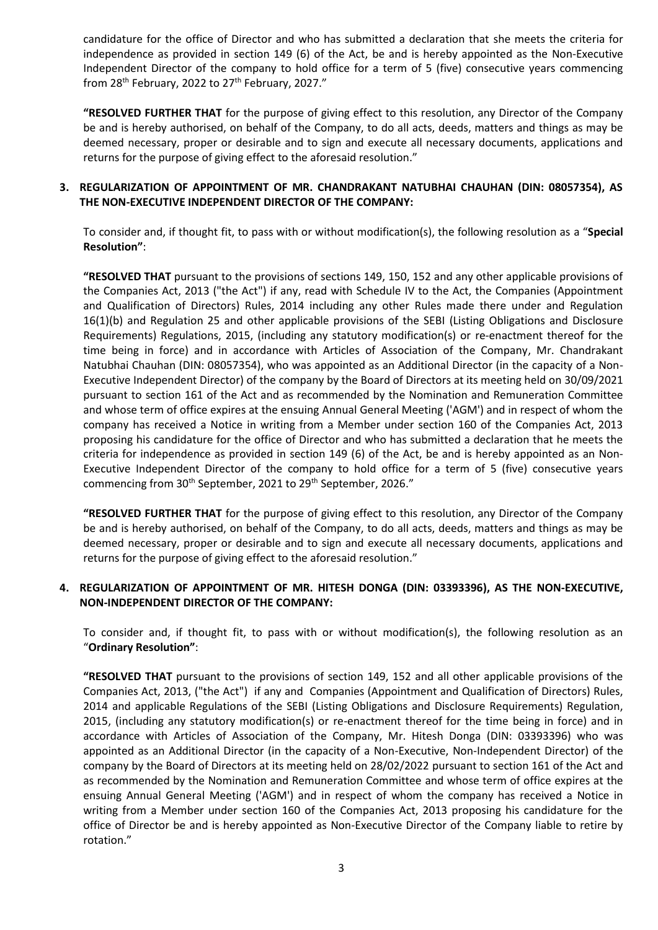candidature for the office of Director and who has submitted a declaration that she meets the criteria for independence as provided in section 149 (6) of the Act, be and is hereby appointed as the Non-Executive Independent Director of the company to hold office for a term of 5 (five) consecutive years commencing from  $28<sup>th</sup>$  February, 2022 to  $27<sup>th</sup>$  February, 2027."

**"RESOLVED FURTHER THAT** for the purpose of giving effect to this resolution, any Director of the Company be and is hereby authorised, on behalf of the Company, to do all acts, deeds, matters and things as may be deemed necessary, proper or desirable and to sign and execute all necessary documents, applications and returns for the purpose of giving effect to the aforesaid resolution."

### **3. REGULARIZATION OF APPOINTMENT OF MR. CHANDRAKANT NATUBHAI CHAUHAN (DIN: 08057354), AS THE NON-EXECUTIVE INDEPENDENT DIRECTOR OF THE COMPANY:**

To consider and, if thought fit, to pass with or without modification(s), the following resolution as a "**Special Resolution"**:

**"RESOLVED THAT** pursuant to the provisions of sections 149, 150, 152 and any other applicable provisions of the Companies Act, 2013 ("the Act") if any, read with Schedule IV to the Act, the Companies (Appointment and Qualification of Directors) Rules, 2014 including any other Rules made there under and Regulation 16(1)(b) and Regulation 25 and other applicable provisions of the SEBI (Listing Obligations and Disclosure Requirements) Regulations, 2015, (including any statutory modification(s) or re-enactment thereof for the time being in force) and in accordance with Articles of Association of the Company, Mr. Chandrakant Natubhai Chauhan (DIN: 08057354), who was appointed as an Additional Director (in the capacity of a Non-Executive Independent Director) of the company by the Board of Directors at its meeting held on 30/09/2021 pursuant to section 161 of the Act and as recommended by the Nomination and Remuneration Committee and whose term of office expires at the ensuing Annual General Meeting ('AGM') and in respect of whom the company has received a Notice in writing from a Member under section 160 of the Companies Act, 2013 proposing his candidature for the office of Director and who has submitted a declaration that he meets the criteria for independence as provided in section 149 (6) of the Act, be and is hereby appointed as an Non-Executive Independent Director of the company to hold office for a term of 5 (five) consecutive years commencing from 30<sup>th</sup> September, 2021 to 29<sup>th</sup> September, 2026."

**"RESOLVED FURTHER THAT** for the purpose of giving effect to this resolution, any Director of the Company be and is hereby authorised, on behalf of the Company, to do all acts, deeds, matters and things as may be deemed necessary, proper or desirable and to sign and execute all necessary documents, applications and returns for the purpose of giving effect to the aforesaid resolution."

## **4. REGULARIZATION OF APPOINTMENT OF MR. HITESH DONGA (DIN: 03393396), AS THE NON-EXECUTIVE, NON-INDEPENDENT DIRECTOR OF THE COMPANY:**

To consider and, if thought fit, to pass with or without modification(s), the following resolution as an "**Ordinary Resolution"**:

**"RESOLVED THAT** pursuant to the provisions of section 149, 152 and all other applicable provisions of the Companies Act, 2013, ("the Act") if any and Companies (Appointment and Qualification of Directors) Rules, 2014 and applicable Regulations of the SEBI (Listing Obligations and Disclosure Requirements) Regulation, 2015, (including any statutory modification(s) or re-enactment thereof for the time being in force) and in accordance with Articles of Association of the Company, Mr. Hitesh Donga (DIN: 03393396) who was appointed as an Additional Director (in the capacity of a Non-Executive, Non-Independent Director) of the company by the Board of Directors at its meeting held on 28/02/2022 pursuant to section 161 of the Act and as recommended by the Nomination and Remuneration Committee and whose term of office expires at the ensuing Annual General Meeting ('AGM') and in respect of whom the company has received a Notice in writing from a Member under section 160 of the Companies Act, 2013 proposing his candidature for the office of Director be and is hereby appointed as Non-Executive Director of the Company liable to retire by rotation."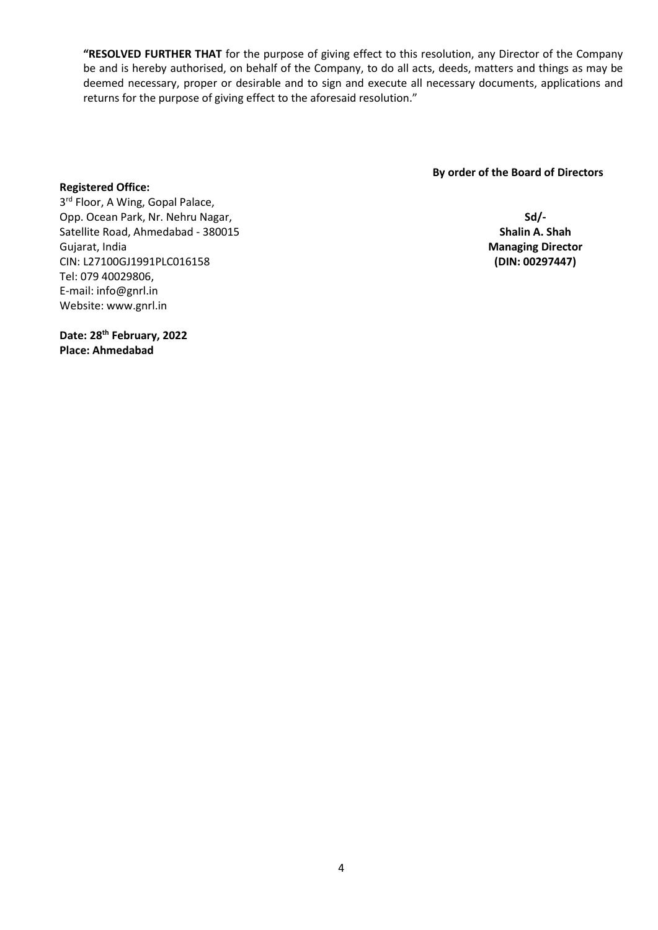**"RESOLVED FURTHER THAT** for the purpose of giving effect to this resolution, any Director of the Company be and is hereby authorised, on behalf of the Company, to do all acts, deeds, matters and things as may be deemed necessary, proper or desirable and to sign and execute all necessary documents, applications and returns for the purpose of giving effect to the aforesaid resolution."

 **By order of the Board of Directors** 

**Sd/- Shalin A. Shah Managing Director (DIN: 00297447)**

# 3<sup>rd</sup> Floor, A Wing, Gopal Palace, Opp. Ocean Park, Nr. Nehru Nagar, Satellite Road, Ahmedabad - 380015 Gujarat, India CIN: L27100GJ1991PLC016158 Tel: 079 40029806, E-mail: info@gnrl.in

**Date: 28th February, 2022 Place: Ahmedabad**

Website: www.gnrl.in

**Registered Office:**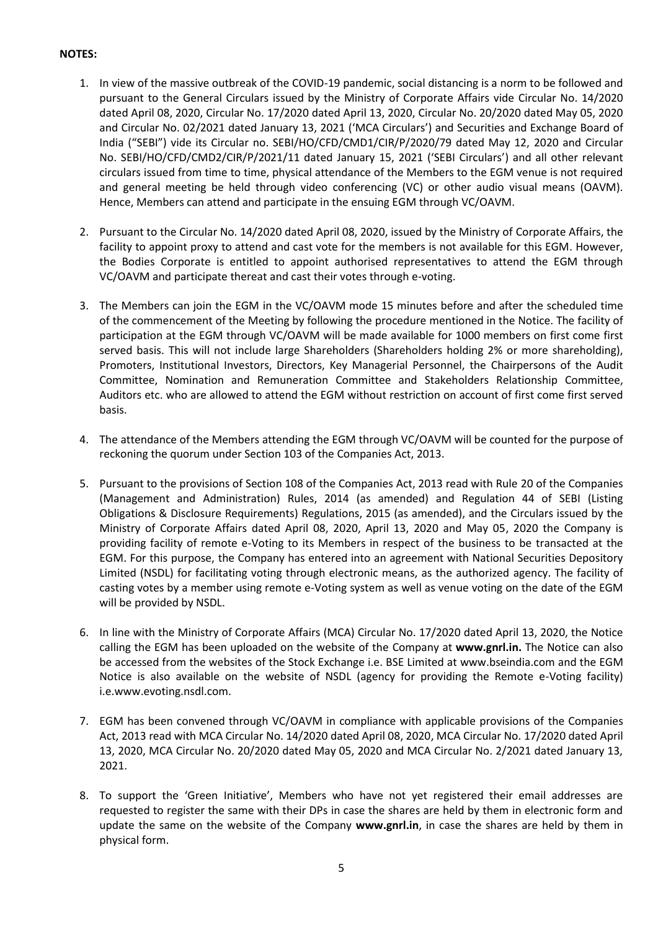# **NOTES:**

- 1. In view of the massive outbreak of the COVID-19 pandemic, social distancing is a norm to be followed and pursuant to the General Circulars issued by the Ministry of Corporate Affairs vide Circular No. 14/2020 dated April 08, 2020, Circular No. 17/2020 dated April 13, 2020, Circular No. 20/2020 dated May 05, 2020 and Circular No. 02/2021 dated January 13, 2021 ('MCA Circulars') and Securities and Exchange Board of India ("SEBI") vide its Circular no. SEBI/HO/CFD/CMD1/CIR/P/2020/79 dated May 12, 2020 and Circular No. SEBI/HO/CFD/CMD2/CIR/P/2021/11 dated January 15, 2021 ('SEBI Circulars') and all other relevant circulars issued from time to time, physical attendance of the Members to the EGM venue is not required and general meeting be held through video conferencing (VC) or other audio visual means (OAVM). Hence, Members can attend and participate in the ensuing EGM through VC/OAVM.
- 2. Pursuant to the Circular No. 14/2020 dated April 08, 2020, issued by the Ministry of Corporate Affairs, the facility to appoint proxy to attend and cast vote for the members is not available for this EGM. However, the Bodies Corporate is entitled to appoint authorised representatives to attend the EGM through VC/OAVM and participate thereat and cast their votes through e-voting.
- 3. The Members can join the EGM in the VC/OAVM mode 15 minutes before and after the scheduled time of the commencement of the Meeting by following the procedure mentioned in the Notice. The facility of participation at the EGM through VC/OAVM will be made available for 1000 members on first come first served basis. This will not include large Shareholders (Shareholders holding 2% or more shareholding), Promoters, Institutional Investors, Directors, Key Managerial Personnel, the Chairpersons of the Audit Committee, Nomination and Remuneration Committee and Stakeholders Relationship Committee, Auditors etc. who are allowed to attend the EGM without restriction on account of first come first served basis.
- 4. The attendance of the Members attending the EGM through VC/OAVM will be counted for the purpose of reckoning the quorum under Section 103 of the Companies Act, 2013.
- 5. Pursuant to the provisions of Section 108 of the Companies Act, 2013 read with Rule 20 of the Companies (Management and Administration) Rules, 2014 (as amended) and Regulation 44 of SEBI (Listing Obligations & Disclosure Requirements) Regulations, 2015 (as amended), and the Circulars issued by the Ministry of Corporate Affairs dated April 08, 2020, April 13, 2020 and May 05, 2020 the Company is providing facility of remote e-Voting to its Members in respect of the business to be transacted at the EGM. For this purpose, the Company has entered into an agreement with National Securities Depository Limited (NSDL) for facilitating voting through electronic means, as the authorized agency. The facility of casting votes by a member using remote e-Voting system as well as venue voting on the date of the EGM will be provided by NSDL.
- 6. In line with the Ministry of Corporate Affairs (MCA) Circular No. 17/2020 dated April 13, 2020, the Notice calling the EGM has been uploaded on the website of the Company at **www.gnrl.in.** The Notice can also be accessed from the websites of the Stock Exchange i.e. BSE Limited at www.bseindia.com and the EGM Notice is also available on the website of NSDL (agency for providing the Remote e-Voting facility) i.e.www.evoting.nsdl.com.
- 7. EGM has been convened through VC/OAVM in compliance with applicable provisions of the Companies Act, 2013 read with MCA Circular No. 14/2020 dated April 08, 2020, MCA Circular No. 17/2020 dated April 13, 2020, MCA Circular No. 20/2020 dated May 05, 2020 and MCA Circular No. 2/2021 dated January 13, 2021.
- 8. To support the 'Green Initiative', Members who have not yet registered their email addresses are requested to register the same with their DPs in case the shares are held by them in electronic form and update the same on the website of the Company **www.gnrl.in**, in case the shares are held by them in physical form.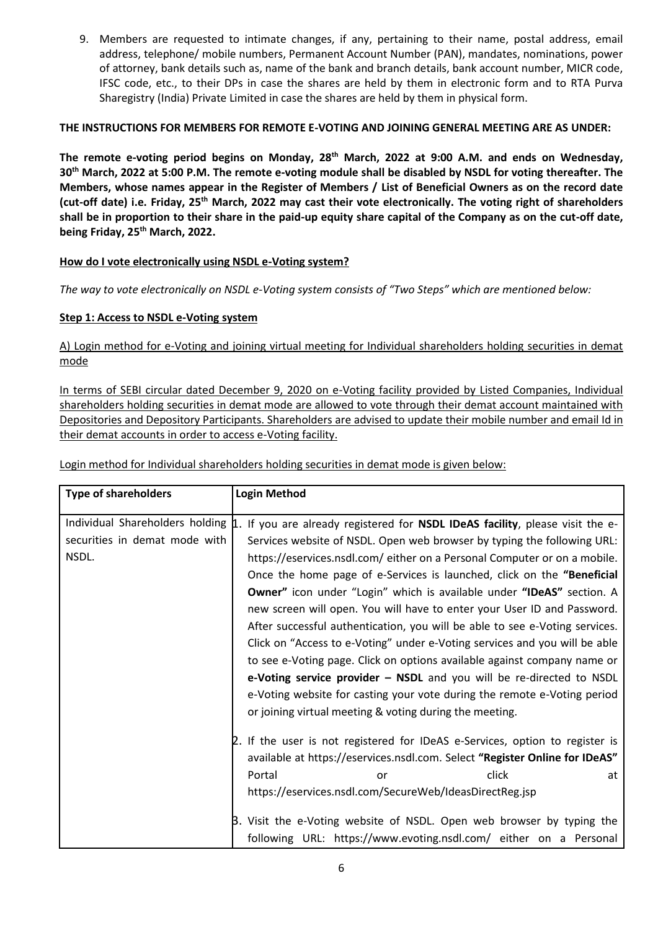9. Members are requested to intimate changes, if any, pertaining to their name, postal address, email address, telephone/ mobile numbers, Permanent Account Number (PAN), mandates, nominations, power of attorney, bank details such as, name of the bank and branch details, bank account number, MICR code, IFSC code, etc., to their DPs in case the shares are held by them in electronic form and to RTA Purva Sharegistry (India) Private Limited in case the shares are held by them in physical form.

# **THE INSTRUCTIONS FOR MEMBERS FOR REMOTE E-VOTING AND JOINING GENERAL MEETING ARE AS UNDER:**

**The remote e-voting period begins on Monday, 28th March, 2022 at 9:00 A.M. and ends on Wednesday, 30th March, 2022 at 5:00 P.M. The remote e-voting module shall be disabled by NSDL for voting thereafter. The Members, whose names appear in the Register of Members / List of Beneficial Owners as on the record date (cut-off date) i.e. Friday, 25th March, 2022 may cast their vote electronically. The voting right of shareholders shall be in proportion to their share in the paid-up equity share capital of the Company as on the cut-off date, being Friday, 25th March, 2022.**

# **How do I vote electronically using NSDL e-Voting system?**

*The way to vote electronically on NSDL e-Voting system consists of "Two Steps" which are mentioned below:*

# **Step 1: Access to NSDL e-Voting system**

A) Login method for e-Voting and joining virtual meeting for Individual shareholders holding securities in demat mode

In terms of SEBI circular dated December 9, 2020 on e-Voting facility provided by Listed Companies, Individual shareholders holding securities in demat mode are allowed to vote through their demat account maintained with Depositories and Depository Participants. Shareholders are advised to update their mobile number and email Id in their demat accounts in order to access e-Voting facility.

| <b>Type of shareholders</b>                                               | <b>Login Method</b>                                                                                                                                                                                                                                                                                                                                                                                                                                                                                                                                                                                                             |  |  |
|---------------------------------------------------------------------------|---------------------------------------------------------------------------------------------------------------------------------------------------------------------------------------------------------------------------------------------------------------------------------------------------------------------------------------------------------------------------------------------------------------------------------------------------------------------------------------------------------------------------------------------------------------------------------------------------------------------------------|--|--|
| Individual Shareholders holding<br>securities in demat mode with<br>NSDL. | 1. If you are already registered for NSDL IDeAS facility, please visit the e-<br>Services website of NSDL. Open web browser by typing the following URL:<br>https://eservices.nsdl.com/either on a Personal Computer or on a mobile.<br>Once the home page of e-Services is launched, click on the "Beneficial<br>Owner" icon under "Login" which is available under "IDeAS" section. A<br>new screen will open. You will have to enter your User ID and Password.<br>After successful authentication, you will be able to see e-Voting services.<br>Click on "Access to e-Voting" under e-Voting services and you will be able |  |  |
|                                                                           | to see e-Voting page. Click on options available against company name or<br>e-Voting service provider - NSDL and you will be re-directed to NSDL<br>e-Voting website for casting your vote during the remote e-Voting period<br>or joining virtual meeting & voting during the meeting.                                                                                                                                                                                                                                                                                                                                         |  |  |
|                                                                           | 2. If the user is not registered for IDeAS e-Services, option to register is<br>available at https://eservices.nsdl.com. Select "Register Online for IDeAS"<br>click<br>Portal<br>at<br>or<br>https://eservices.nsdl.com/SecureWeb/IdeasDirectReg.jsp                                                                                                                                                                                                                                                                                                                                                                           |  |  |
|                                                                           | B. Visit the e-Voting website of NSDL. Open web browser by typing the<br>following URL: https://www.evoting.nsdl.com/ either on a Personal                                                                                                                                                                                                                                                                                                                                                                                                                                                                                      |  |  |

Login method for Individual shareholders holding securities in demat mode is given below: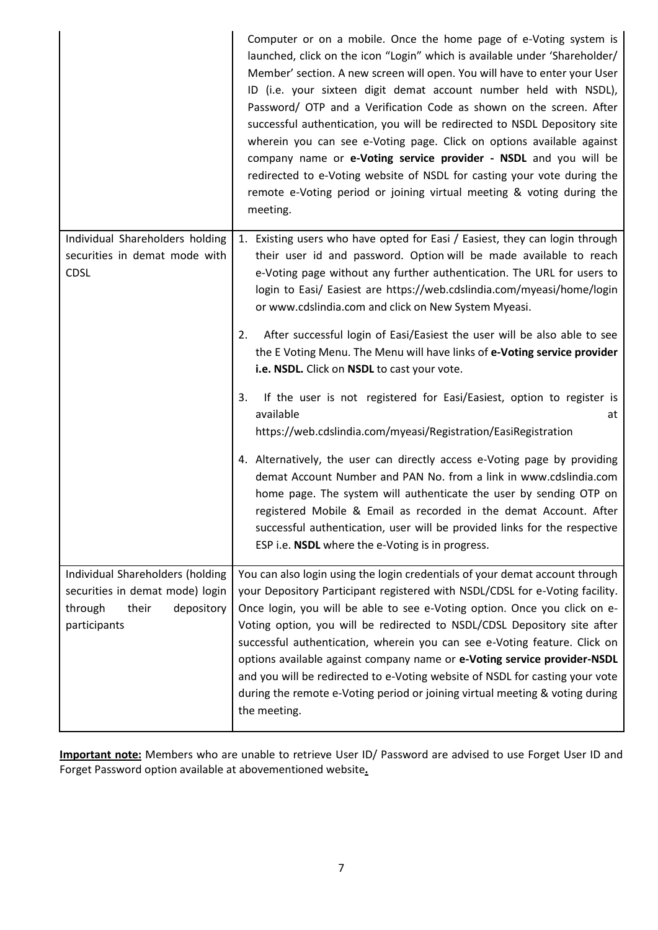|                                                                                                                       | Computer or on a mobile. Once the home page of e-Voting system is<br>launched, click on the icon "Login" which is available under 'Shareholder/<br>Member' section. A new screen will open. You will have to enter your User<br>ID (i.e. your sixteen digit demat account number held with NSDL),<br>Password/ OTP and a Verification Code as shown on the screen. After<br>successful authentication, you will be redirected to NSDL Depository site<br>wherein you can see e-Voting page. Click on options available against<br>company name or e-Voting service provider - NSDL and you will be<br>redirected to e-Voting website of NSDL for casting your vote during the<br>remote e-Voting period or joining virtual meeting & voting during the<br>meeting. |
|-----------------------------------------------------------------------------------------------------------------------|--------------------------------------------------------------------------------------------------------------------------------------------------------------------------------------------------------------------------------------------------------------------------------------------------------------------------------------------------------------------------------------------------------------------------------------------------------------------------------------------------------------------------------------------------------------------------------------------------------------------------------------------------------------------------------------------------------------------------------------------------------------------|
| Individual Shareholders holding<br>securities in demat mode with<br><b>CDSL</b>                                       | 1. Existing users who have opted for Easi / Easiest, they can login through<br>their user id and password. Option will be made available to reach<br>e-Voting page without any further authentication. The URL for users to<br>login to Easi/ Easiest are https://web.cdslindia.com/myeasi/home/login<br>or www.cdslindia.com and click on New System Myeasi.<br>After successful login of Easi/Easiest the user will be also able to see<br>2.<br>the E Voting Menu. The Menu will have links of e-Voting service provider<br>i.e. NSDL. Click on NSDL to cast your vote.                                                                                                                                                                                         |
|                                                                                                                       | If the user is not registered for Easi/Easiest, option to register is<br>3.<br>available<br>at<br>https://web.cdslindia.com/myeasi/Registration/EasiRegistration<br>4. Alternatively, the user can directly access e-Voting page by providing<br>demat Account Number and PAN No. from a link in www.cdslindia.com<br>home page. The system will authenticate the user by sending OTP on<br>registered Mobile & Email as recorded in the demat Account. After<br>successful authentication, user will be provided links for the respective<br>ESP i.e. NSDL where the e-Voting is in progress.                                                                                                                                                                     |
| Individual Shareholders (holding<br>securities in demat mode) login<br>through<br>their<br>depository<br>participants | You can also login using the login credentials of your demat account through<br>your Depository Participant registered with NSDL/CDSL for e-Voting facility.<br>Once login, you will be able to see e-Voting option. Once you click on e-<br>Voting option, you will be redirected to NSDL/CDSL Depository site after<br>successful authentication, wherein you can see e-Voting feature. Click on<br>options available against company name or e-Voting service provider-NSDL<br>and you will be redirected to e-Voting website of NSDL for casting your vote<br>during the remote e-Voting period or joining virtual meeting & voting during<br>the meeting.                                                                                                     |

**Important note:** Members who are unable to retrieve User ID/ Password are advised to use Forget User ID and Forget Password option available at abovementioned website**.**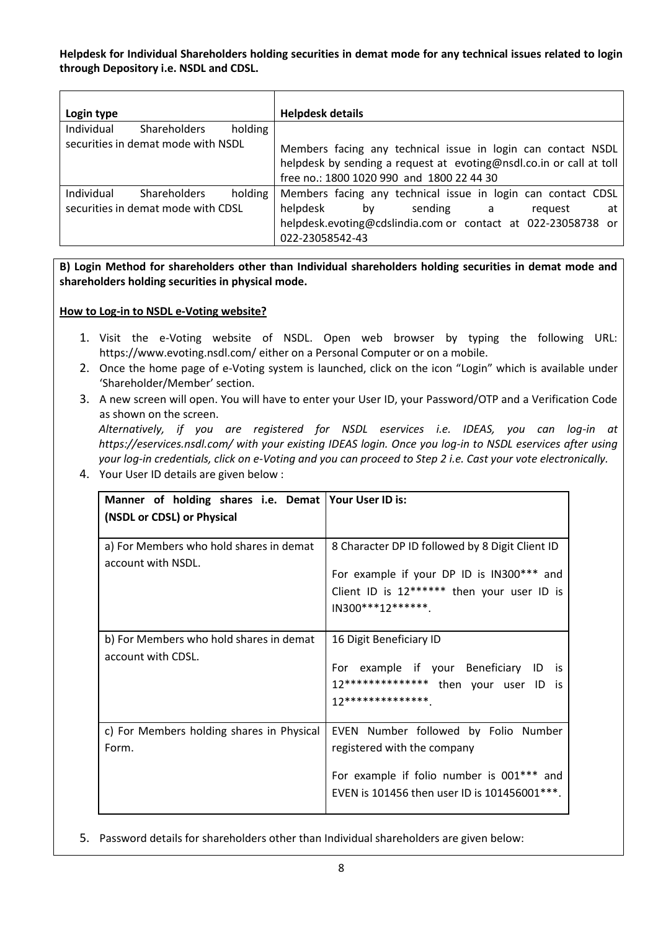**Helpdesk for Individual Shareholders holding securities in demat mode for any technical issues related to login through Depository i.e. NSDL and CDSL.**

| Login type                                   | <b>Helpdesk details</b>                                                                                                                                                          |  |  |
|----------------------------------------------|----------------------------------------------------------------------------------------------------------------------------------------------------------------------------------|--|--|
| Individual<br>holding<br><b>Shareholders</b> |                                                                                                                                                                                  |  |  |
| securities in demat mode with NSDL           | Members facing any technical issue in login can contact NSDL<br>helpdesk by sending a request at evoting@nsdl.co.in or call at toll<br>free no.: 1800 1020 990 and 1800 22 44 30 |  |  |
| Individual<br><b>Shareholders</b><br>holding | Members facing any technical issue in login can contact CDSL                                                                                                                     |  |  |
| securities in demat mode with CDSL           | helpdesk<br>sending a<br>bv<br>at<br>reauest                                                                                                                                     |  |  |
|                                              | helpdesk.evoting@cdslindia.com or contact at 022-23058738 or<br>022-23058542-43                                                                                                  |  |  |

**B) Login Method for shareholders other than Individual shareholders holding securities in demat mode and shareholders holding securities in physical mode.**

#### **How to Log-in to NSDL e-Voting website?**

- 1. Visit the e-Voting website of NSDL. Open web browser by typing the following URL: https://www.evoting.nsdl.com/ either on a Personal Computer or on a mobile.
- 2. Once the home page of e-Voting system is launched, click on the icon "Login" which is available under 'Shareholder/Member' section.
- 3. A new screen will open. You will have to enter your User ID, your Password/OTP and a Verification Code as shown on the screen.

*Alternatively, if you are registered for NSDL eservices i.e. IDEAS, you can log-in at https://eservices.nsdl.com/ with your existing IDEAS login. Once you log-in to NSDL eservices after using your log-in credentials, click on e-Voting and you can proceed to Step 2 i.e. Cast your vote electronically.*

4. Your User ID details are given below :

| Manner of holding shares i.e. Demat Your User ID is:<br>(NSDL or CDSL) or Physical |                                                                                                                                                                   |
|------------------------------------------------------------------------------------|-------------------------------------------------------------------------------------------------------------------------------------------------------------------|
| a) For Members who hold shares in demat<br>account with NSDL.                      | 8 Character DP ID followed by 8 Digit Client ID<br>For example if your DP ID is IN300*** and<br>Client ID is 12****** then your user ID is<br>IN300***12*******.  |
| b) For Members who hold shares in demat<br>account with CDSL.                      | 16 Digit Beneficiary ID<br>For example if your Beneficiary ID is<br>12************** then your user ID is<br>12**************                                     |
| c) For Members holding shares in Physical<br>Form.                                 | EVEN Number followed by Folio Number<br>registered with the company<br>For example if folio number is 001*** and<br>EVEN is 101456 then user ID is 101456001 ***. |

5. Password details for shareholders other than Individual shareholders are given below: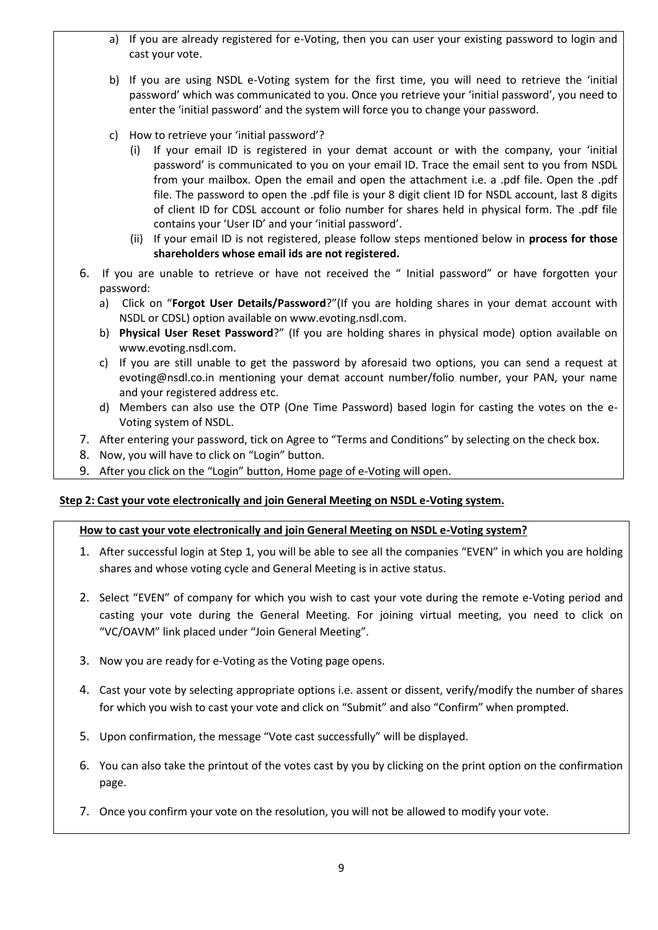- a) If you are already registered for e-Voting, then you can user your existing password to login and cast your vote.
- b) If you are using NSDL e-Voting system for the first time, you will need to retrieve the 'initial password' which was communicated to you. Once you retrieve your 'initial password', you need to enter the 'initial password' and the system will force you to change your password.
- c) How to retrieve your 'initial password'?
	- (i) If your email ID is registered in your demat account or with the company, your 'initial password' is communicated to you on your email ID. Trace the email sent to you from NSDL from your mailbox. Open the email and open the attachment i.e. a .pdf file. Open the .pdf file. The password to open the .pdf file is your 8 digit client ID for NSDL account, last 8 digits of client ID for CDSL account or folio number for shares held in physical form. The .pdf file contains your 'User ID' and your 'initial password'.
	- (ii) If your email ID is not registered, please follow steps mentioned below in **process for those shareholders whose email ids are not registered.**
- 6. If you are unable to retrieve or have not received the " Initial password" or have forgotten your password:
	- a) Click on "**Forgot User Details/Password**?"(If you are holding shares in your demat account with NSDL or CDSL) option available on www.evoting.nsdl.com.
	- b) **[Physical User Reset Password](https://www.evoting.nsdl.com/eVotingWeb/commonhtmls/PhysicalUser.jsp)**?" (If you are holding shares in physical mode) option available on www.evoting.nsdl.com.
	- c) If you are still unable to get the password by aforesaid two options, you can send a request at evoting@nsdl.co.in mentioning your demat account number/folio number, your PAN, your name and your registered address etc.
	- d) Members can also use the OTP (One Time Password) based login for casting the votes on the e-Voting system of NSDL.
- 7. After entering your password, tick on Agree to "Terms and Conditions" by selecting on the check box.
- 8. Now, you will have to click on "Login" button.
- 9. After you click on the "Login" button, Home page of e-Voting will open.

# **Step 2: Cast your vote electronically and join General Meeting on NSDL e-Voting system.**

# **How to cast your vote electronically and join General Meeting on NSDL e-Voting system?**

- 1. After successful login at Step 1, you will be able to see all the companies "EVEN" in which you are holding shares and whose voting cycle and General Meeting is in active status.
- 2. Select "EVEN" of company for which you wish to cast your vote during the remote e-Voting period and casting your vote during the General Meeting. For joining virtual meeting, you need to click on "VC/OAVM" link placed under "Join General Meeting".
- 3. Now you are ready for e-Voting as the Voting page opens.
- 4. Cast your vote by selecting appropriate options i.e. assent or dissent, verify/modify the number of shares for which you wish to cast your vote and click on "Submit" and also "Confirm" when prompted.
- 5. Upon confirmation, the message "Vote cast successfully" will be displayed.
- 6. You can also take the printout of the votes cast by you by clicking on the print option on the confirmation page.
- 7. Once you confirm your vote on the resolution, you will not be allowed to modify your vote.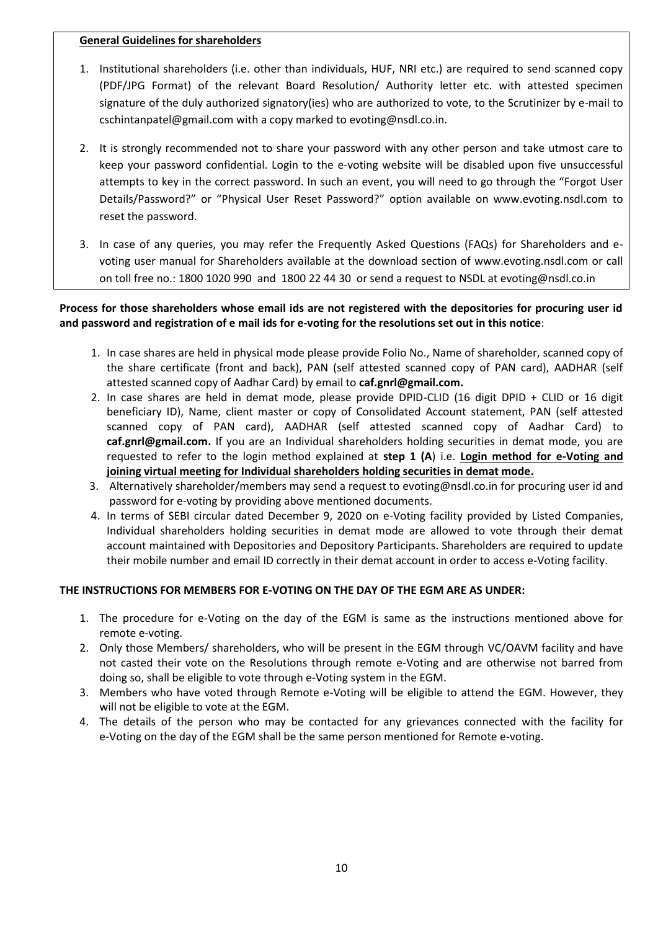#### **General Guidelines for shareholders**

- 1. Institutional shareholders (i.e. other than individuals, HUF, NRI etc.) are required to send scanned copy (PDF/JPG Format) of the relevant Board Resolution/ Authority letter etc. with attested specimen signature of the duly authorized signatory(ies) who are authorized to vote, to the Scrutinizer by e-mail to cschintanpatel@gmail.com with a copy marked to evoting@nsdl.co.in.
- 2. It is strongly recommended not to share your password with any other person and take utmost care to keep your password confidential. Login to the e-voting website will be disabled upon five unsuccessful attempts to key in the correct password. In such an event, you will need to go through the "Forgot User Details/Password?" or "Physical User Reset Password?" option available on www.evoting.nsdl.com to reset the password.
- 3. In case of any queries, you may refer the Frequently Asked Questions (FAQs) for Shareholders and evoting user manual for Shareholders available at the download section of www.evoting.nsdl.com or call on toll free no.: 1800 1020 990 and 1800 22 44 30 or send a request to NSDL at evoting@nsdl.co.in

# **Process for those shareholders whose email ids are not registered with the depositories for procuring user id and password and registration of e mail ids for e-voting for the resolutions set out in this notice**:

- 1. In case shares are held in physical mode please provide Folio No., Name of shareholder, scanned copy of the share certificate (front and back), PAN (self attested scanned copy of PAN card), AADHAR (self attested scanned copy of Aadhar Card) by email to **caf.gnrl@gmail.com.**
- 2. In case shares are held in demat mode, please provide DPID-CLID (16 digit DPID + CLID or 16 digit beneficiary ID), Name, client master or copy of Consolidated Account statement, PAN (self attested scanned copy of PAN card), AADHAR (self attested scanned copy of Aadhar Card) to **caf.gnrl@gmail.com.** If you are an Individual shareholders holding securities in demat mode, you are requested to refer to the login method explained at **step 1 (A**) i.e. **Login method for e-Voting and joining virtual meeting for Individual shareholders holding securities in demat mode.**
- 3. Alternatively shareholder/members may send a request to evoting@nsdl.co.in for procuring user id and password for e-voting by providing above mentioned documents.
- 4. In terms of SEBI circular dated December 9, 2020 on e-Voting facility provided by Listed Companies, Individual shareholders holding securities in demat mode are allowed to vote through their demat account maintained with Depositories and Depository Participants. Shareholders are required to update their mobile number and email ID correctly in their demat account in order to access e-Voting facility.

# **THE INSTRUCTIONS FOR MEMBERS FOR E-VOTING ON THE DAY OF THE EGM ARE AS UNDER:**

- 1. The procedure for e-Voting on the day of the EGM is same as the instructions mentioned above for remote e-voting.
- 2. Only those Members/ shareholders, who will be present in the EGM through VC/OAVM facility and have not casted their vote on the Resolutions through remote e-Voting and are otherwise not barred from doing so, shall be eligible to vote through e-Voting system in the EGM.
- 3. Members who have voted through Remote e-Voting will be eligible to attend the EGM. However, they will not be eligible to vote at the EGM.
- 4. The details of the person who may be contacted for any grievances connected with the facility for e-Voting on the day of the EGM shall be the same person mentioned for Remote e-voting.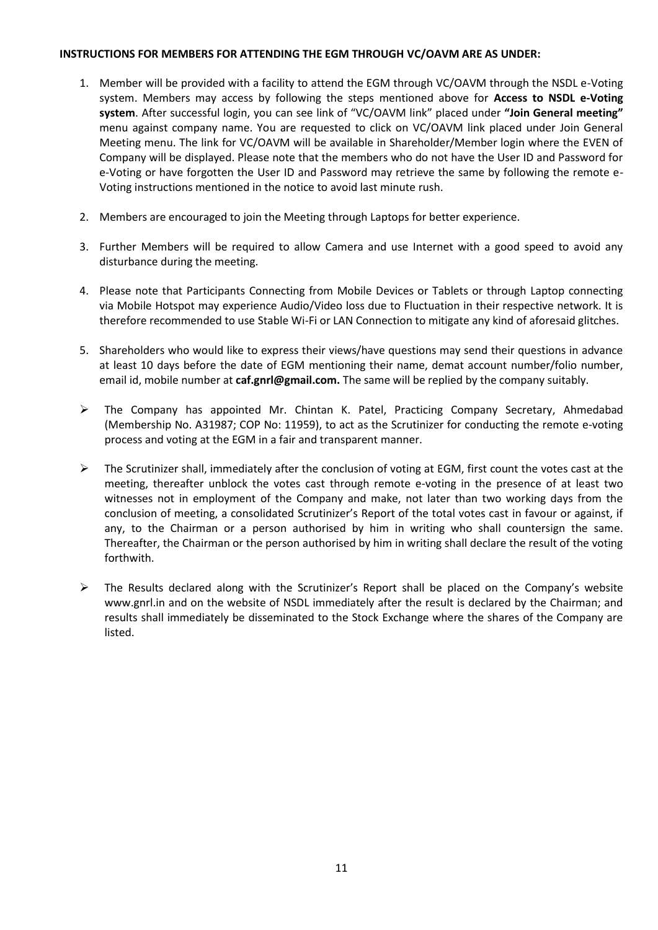#### **INSTRUCTIONS FOR MEMBERS FOR ATTENDING THE EGM THROUGH VC/OAVM ARE AS UNDER:**

- 1. Member will be provided with a facility to attend the EGM through VC/OAVM through the NSDL e-Voting system. Members may access by following the steps mentioned above for **Access to NSDL e-Voting system**. After successful login, you can see link of "VC/OAVM link" placed under **"Join General meeting"** menu against company name. You are requested to click on VC/OAVM link placed under Join General Meeting menu. The link for VC/OAVM will be available in Shareholder/Member login where the EVEN of Company will be displayed. Please note that the members who do not have the User ID and Password for e-Voting or have forgotten the User ID and Password may retrieve the same by following the remote e-Voting instructions mentioned in the notice to avoid last minute rush.
- 2. Members are encouraged to join the Meeting through Laptops for better experience.
- 3. Further Members will be required to allow Camera and use Internet with a good speed to avoid any disturbance during the meeting.
- 4. Please note that Participants Connecting from Mobile Devices or Tablets or through Laptop connecting via Mobile Hotspot may experience Audio/Video loss due to Fluctuation in their respective network. It is therefore recommended to use Stable Wi-Fi or LAN Connection to mitigate any kind of aforesaid glitches.
- 5. Shareholders who would like to express their views/have questions may send their questions in advance at least 10 days before the date of EGM mentioning their name, demat account number/folio number, email id, mobile number at **caf.gnrl@gmail.com.** The same will be replied by the company suitably.
- ➢ The Company has appointed Mr. Chintan K. Patel, Practicing Company Secretary, Ahmedabad (Membership No. A31987; COP No: 11959), to act as the Scrutinizer for conducting the remote e-voting process and voting at the EGM in a fair and transparent manner.
- $\triangleright$  The Scrutinizer shall, immediately after the conclusion of voting at EGM, first count the votes cast at the meeting, thereafter unblock the votes cast through remote e-voting in the presence of at least two witnesses not in employment of the Company and make, not later than two working days from the conclusion of meeting, a consolidated Scrutinizer's Report of the total votes cast in favour or against, if any, to the Chairman or a person authorised by him in writing who shall countersign the same. Thereafter, the Chairman or the person authorised by him in writing shall declare the result of the voting forthwith.
- ➢ The Results declared along with the Scrutinizer's Report shall be placed on the Company's website www.gnrl.in and on the website of NSDL immediately after the result is declared by the Chairman; and results shall immediately be disseminated to the Stock Exchange where the shares of the Company are listed.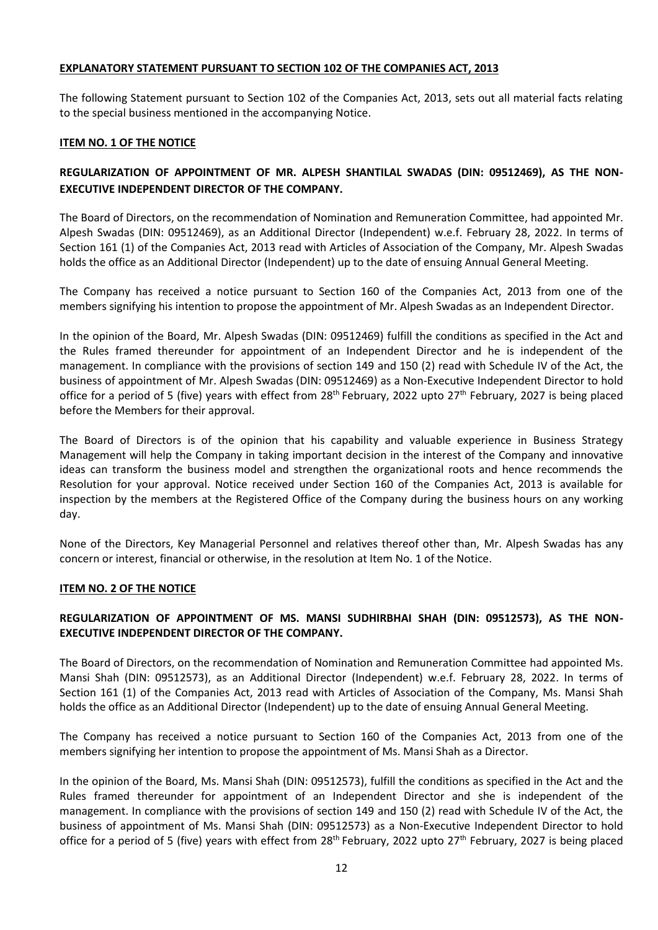#### **EXPLANATORY STATEMENT PURSUANT TO SECTION 102 OF THE COMPANIES ACT, 2013**

The following Statement pursuant to Section 102 of the Companies Act, 2013, sets out all material facts relating to the special business mentioned in the accompanying Notice.

#### **ITEM NO. 1 OF THE NOTICE**

# **REGULARIZATION OF APPOINTMENT OF MR. ALPESH SHANTILAL SWADAS (DIN: 09512469), AS THE NON-EXECUTIVE INDEPENDENT DIRECTOR OF THE COMPANY.**

The Board of Directors, on the recommendation of Nomination and Remuneration Committee, had appointed Mr. Alpesh Swadas (DIN: 09512469), as an Additional Director (Independent) w.e.f. February 28, 2022. In terms of Section 161 (1) of the Companies Act, 2013 read with Articles of Association of the Company, Mr. Alpesh Swadas holds the office as an Additional Director (Independent) up to the date of ensuing Annual General Meeting.

The Company has received a notice pursuant to Section 160 of the Companies Act, 2013 from one of the members signifying his intention to propose the appointment of Mr. Alpesh Swadas as an Independent Director.

In the opinion of the Board, Mr. Alpesh Swadas (DIN: 09512469) fulfill the conditions as specified in the Act and the Rules framed thereunder for appointment of an Independent Director and he is independent of the management. In compliance with the provisions of section 149 and 150 (2) read with Schedule IV of the Act, the business of appointment of Mr. Alpesh Swadas (DIN: 09512469) as a Non-Executive Independent Director to hold office for a period of 5 (five) years with effect from  $28<sup>th</sup>$  February, 2022 upto  $27<sup>th</sup>$  February, 2027 is being placed before the Members for their approval.

The Board of Directors is of the opinion that his capability and valuable experience in Business Strategy Management will help the Company in taking important decision in the interest of the Company and innovative ideas can transform the business model and strengthen the organizational roots and hence recommends the Resolution for your approval. Notice received under Section 160 of the Companies Act, 2013 is available for inspection by the members at the Registered Office of the Company during the business hours on any working day.

None of the Directors, Key Managerial Personnel and relatives thereof other than, Mr. Alpesh Swadas has any concern or interest, financial or otherwise, in the resolution at Item No. 1 of the Notice.

#### **ITEM NO. 2 OF THE NOTICE**

# **REGULARIZATION OF APPOINTMENT OF MS. MANSI SUDHIRBHAI SHAH (DIN: 09512573), AS THE NON-EXECUTIVE INDEPENDENT DIRECTOR OF THE COMPANY.**

The Board of Directors, on the recommendation of Nomination and Remuneration Committee had appointed Ms. Mansi Shah (DIN: 09512573), as an Additional Director (Independent) w.e.f. February 28, 2022. In terms of Section 161 (1) of the Companies Act, 2013 read with Articles of Association of the Company, Ms. Mansi Shah holds the office as an Additional Director (Independent) up to the date of ensuing Annual General Meeting.

The Company has received a notice pursuant to Section 160 of the Companies Act, 2013 from one of the members signifying her intention to propose the appointment of Ms. Mansi Shah as a Director.

In the opinion of the Board, Ms. Mansi Shah (DIN: 09512573), fulfill the conditions as specified in the Act and the Rules framed thereunder for appointment of an Independent Director and she is independent of the management. In compliance with the provisions of section 149 and 150 (2) read with Schedule IV of the Act, the business of appointment of Ms. Mansi Shah (DIN: 09512573) as a Non-Executive Independent Director to hold office for a period of 5 (five) years with effect from  $28<sup>th</sup>$  February, 2022 upto  $27<sup>th</sup>$  February, 2027 is being placed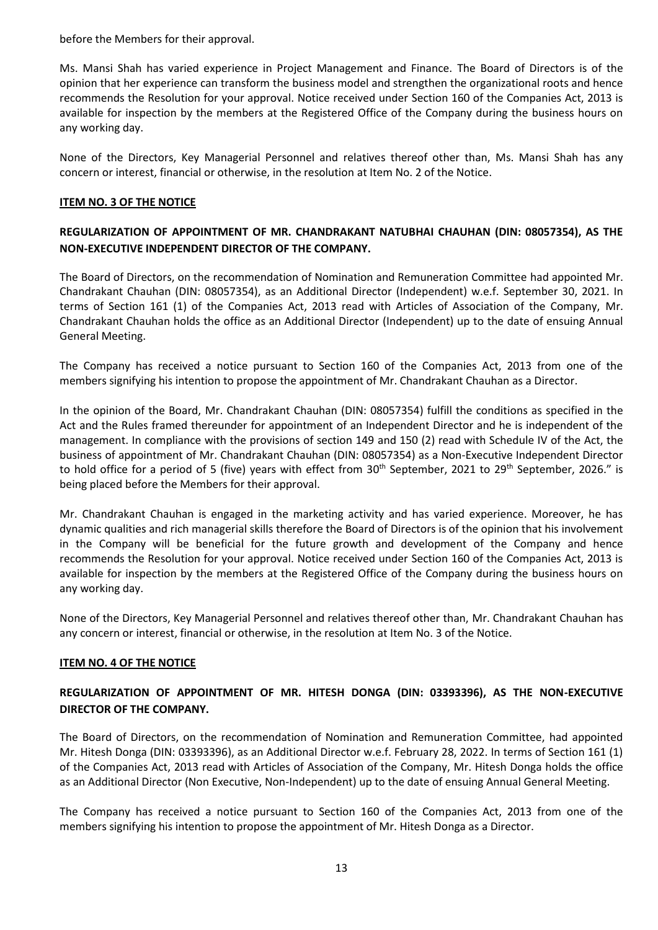before the Members for their approval.

Ms. Mansi Shah has varied experience in Project Management and Finance. The Board of Directors is of the opinion that her experience can transform the business model and strengthen the organizational roots and hence recommends the Resolution for your approval. Notice received under Section 160 of the Companies Act, 2013 is available for inspection by the members at the Registered Office of the Company during the business hours on any working day.

None of the Directors, Key Managerial Personnel and relatives thereof other than, Ms. Mansi Shah has any concern or interest, financial or otherwise, in the resolution at Item No. 2 of the Notice.

## **ITEM NO. 3 OF THE NOTICE**

# **REGULARIZATION OF APPOINTMENT OF MR. CHANDRAKANT NATUBHAI CHAUHAN (DIN: 08057354), AS THE NON-EXECUTIVE INDEPENDENT DIRECTOR OF THE COMPANY.**

The Board of Directors, on the recommendation of Nomination and Remuneration Committee had appointed Mr. Chandrakant Chauhan (DIN: 08057354), as an Additional Director (Independent) w.e.f. September 30, 2021. In terms of Section 161 (1) of the Companies Act, 2013 read with Articles of Association of the Company, Mr. Chandrakant Chauhan holds the office as an Additional Director (Independent) up to the date of ensuing Annual General Meeting.

The Company has received a notice pursuant to Section 160 of the Companies Act, 2013 from one of the members signifying his intention to propose the appointment of Mr. Chandrakant Chauhan as a Director.

In the opinion of the Board, Mr. Chandrakant Chauhan (DIN: 08057354) fulfill the conditions as specified in the Act and the Rules framed thereunder for appointment of an Independent Director and he is independent of the management. In compliance with the provisions of section 149 and 150 (2) read with Schedule IV of the Act, the business of appointment of Mr. Chandrakant Chauhan (DIN: 08057354) as a Non-Executive Independent Director to hold office for a period of 5 (five) years with effect from 30<sup>th</sup> September, 2021 to 29<sup>th</sup> September, 2026." is being placed before the Members for their approval.

Mr. Chandrakant Chauhan is engaged in the marketing activity and has varied experience. Moreover, he has dynamic qualities and rich managerial skills therefore the Board of Directors is of the opinion that his involvement in the Company will be beneficial for the future growth and development of the Company and hence recommends the Resolution for your approval. Notice received under Section 160 of the Companies Act, 2013 is available for inspection by the members at the Registered Office of the Company during the business hours on any working day.

None of the Directors, Key Managerial Personnel and relatives thereof other than, Mr. Chandrakant Chauhan has any concern or interest, financial or otherwise, in the resolution at Item No. 3 of the Notice.

#### **ITEM NO. 4 OF THE NOTICE**

# **REGULARIZATION OF APPOINTMENT OF MR. HITESH DONGA (DIN: 03393396), AS THE NON-EXECUTIVE DIRECTOR OF THE COMPANY.**

The Board of Directors, on the recommendation of Nomination and Remuneration Committee, had appointed Mr. Hitesh Donga (DIN: 03393396), as an Additional Director w.e.f. February 28, 2022. In terms of Section 161 (1) of the Companies Act, 2013 read with Articles of Association of the Company, Mr. Hitesh Donga holds the office as an Additional Director (Non Executive, Non-Independent) up to the date of ensuing Annual General Meeting.

The Company has received a notice pursuant to Section 160 of the Companies Act, 2013 from one of the members signifying his intention to propose the appointment of Mr. Hitesh Donga as a Director.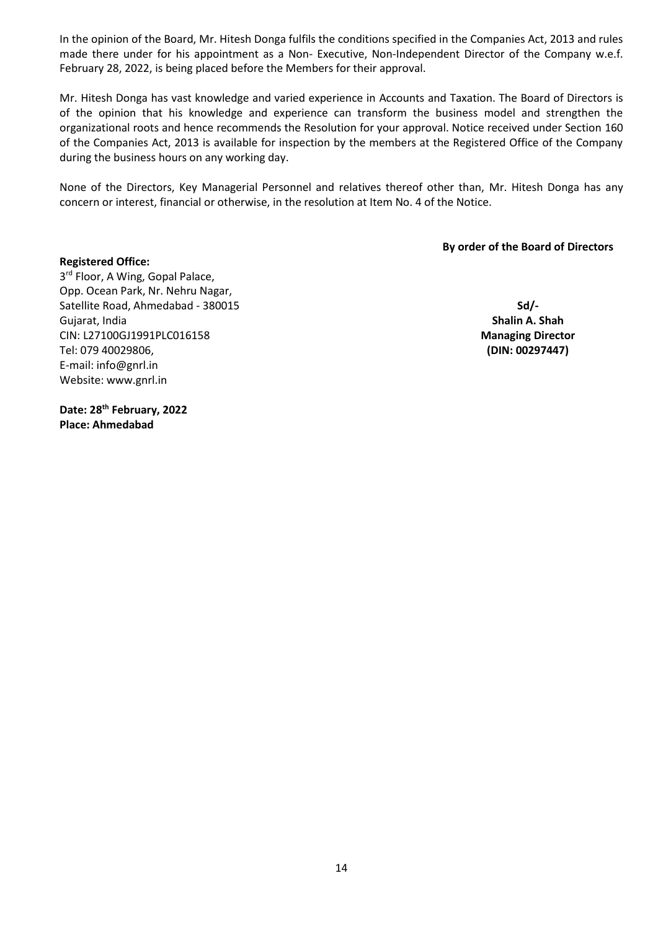In the opinion of the Board, Mr. Hitesh Donga fulfils the conditions specified in the Companies Act, 2013 and rules made there under for his appointment as a Non- Executive, Non-Independent Director of the Company w.e.f. February 28, 2022, is being placed before the Members for their approval.

Mr. Hitesh Donga has vast knowledge and varied experience in Accounts and Taxation. The Board of Directors is of the opinion that his knowledge and experience can transform the business model and strengthen the organizational roots and hence recommends the Resolution for your approval. Notice received under Section 160 of the Companies Act, 2013 is available for inspection by the members at the Registered Office of the Company during the business hours on any working day.

None of the Directors, Key Managerial Personnel and relatives thereof other than, Mr. Hitesh Donga has any concern or interest, financial or otherwise, in the resolution at Item No. 4 of the Notice.

**By order of the Board of Directors**

#### **Registered Office:**

3<sup>rd</sup> Floor, A Wing, Gopal Palace, Opp. Ocean Park, Nr. Nehru Nagar, Satellite Road, Ahmedabad - 380015 Gujarat, India CIN: L27100GJ1991PLC016158 Tel: 079 40029806, E-mail: info@gnrl.in Website: www.gnrl.in

**Sd/- Shalin A. Shah Managing Director (DIN: 00297447)**

**Date: 28th February, 2022 Place: Ahmedabad**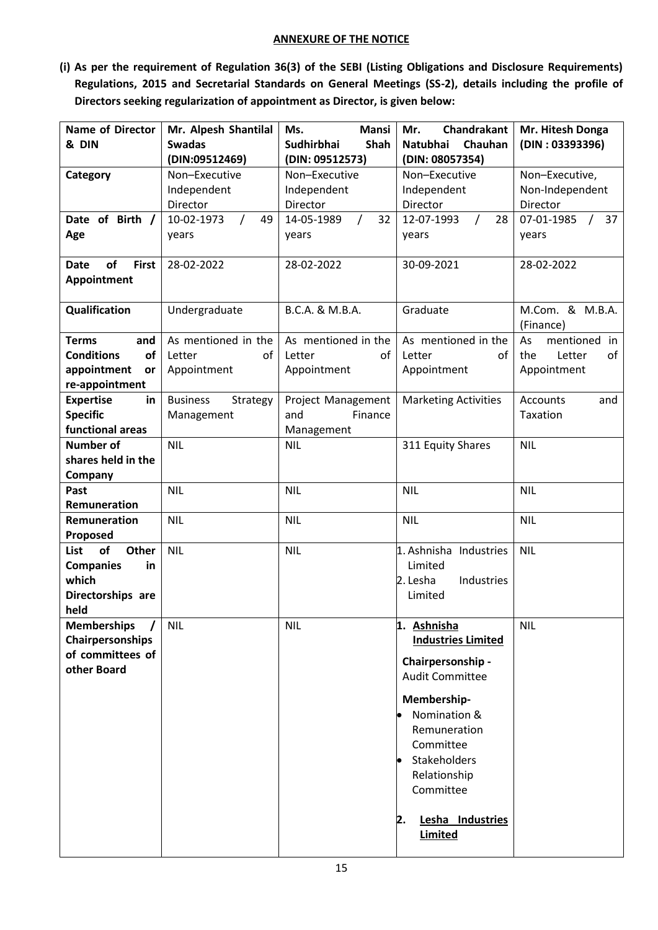#### **ANNEXURE OF THE NOTICE**

**(i) As per the requirement of Regulation 36(3) of the SEBI (Listing Obligations and Disclosure Requirements) Regulations, 2015 and Secretarial Standards on General Meetings (SS-2), details including the profile of Directors seeking regularization of appointment as Director, is given below:** 

| <b>Name of Director</b>           | Mr. Alpesh Shantilal         | <b>Mansi</b><br>Ms.       | Chandrakant<br>Mr.          | Mr. Hitesh Donga               |
|-----------------------------------|------------------------------|---------------------------|-----------------------------|--------------------------------|
| & DIN                             | <b>Swadas</b>                | Shah<br><b>Sudhirbhai</b> | Chauhan<br>Natubhai         | (DIN: 03393396)                |
|                                   | (DIN:09512469)               | (DIN: 09512573)           | (DIN: 08057354)             |                                |
| Category                          | Non-Executive                | Non-Executive             | Non-Executive               | Non-Executive,                 |
|                                   | Independent                  | Independent               | Independent                 | Non-Independent                |
|                                   | Director                     | Director                  | Director                    | Director                       |
| Date of Birth /                   | 10-02-1973<br>$\prime$<br>49 | 32<br>14-05-1989          | 12-07-1993<br>28            | 07-01-1985<br>37<br>$\sqrt{2}$ |
| Age                               | years                        | years                     | years                       | years                          |
|                                   |                              |                           |                             |                                |
| of<br><b>First</b><br><b>Date</b> | 28-02-2022                   | 28-02-2022                | 30-09-2021                  | 28-02-2022                     |
| Appointment                       |                              |                           |                             |                                |
|                                   |                              |                           |                             |                                |
| Qualification                     | Undergraduate                | B.C.A. & M.B.A.           | Graduate                    | M.Com. & M.B.A.                |
|                                   |                              |                           |                             | (Finance)                      |
| <b>Terms</b><br>and               | As mentioned in the          | As mentioned in the       | As mentioned in the         | mentioned<br>As<br>in          |
| <b>Conditions</b><br><b>of</b>    | Letter<br>of                 | Letter<br>of              | of<br>Letter                | the<br>Letter<br>of            |
| appointment<br>or                 | Appointment                  | Appointment               | Appointment                 | Appointment                    |
| re-appointment                    |                              |                           |                             |                                |
| <b>Expertise</b><br>in            | <b>Business</b><br>Strategy  | Project Management        | <b>Marketing Activities</b> | <b>Accounts</b><br>and         |
| <b>Specific</b>                   | Management                   | and<br>Finance            |                             | Taxation                       |
| functional areas                  |                              | Management                |                             |                                |
| Number of                         | <b>NIL</b>                   | <b>NIL</b>                | 311 Equity Shares           | <b>NIL</b>                     |
| shares held in the                |                              |                           |                             |                                |
| Company                           |                              |                           |                             |                                |
| Past                              | <b>NIL</b>                   | <b>NIL</b>                | <b>NIL</b>                  | <b>NIL</b>                     |
| Remuneration                      |                              |                           |                             |                                |
| Remuneration                      | <b>NIL</b>                   | <b>NIL</b>                | <b>NIL</b>                  | <b>NIL</b>                     |
| Proposed                          |                              |                           |                             |                                |
| of<br><b>Other</b><br>List        | <b>NIL</b>                   | <b>NIL</b>                | 1. Ashnisha Industries      | <b>NIL</b>                     |
| <b>Companies</b><br>in            |                              |                           | Limited                     |                                |
| which                             |                              |                           | 2. Lesha<br>Industries      |                                |
| Directorships are                 |                              |                           | Limited                     |                                |
| held                              |                              |                           |                             |                                |
| <b>Memberships</b>                | <b>NIL</b>                   | <b>NIL</b>                | 1. Ashnisha                 | <b>NIL</b>                     |
| Chairpersonships                  |                              |                           | <b>Industries Limited</b>   |                                |
| of committees of                  |                              |                           | Chairpersonship -           |                                |
| other Board                       |                              |                           | <b>Audit Committee</b>      |                                |
|                                   |                              |                           |                             |                                |
|                                   |                              |                           | Membership-                 |                                |
|                                   |                              |                           | Nomination &                |                                |
|                                   |                              |                           | Remuneration                |                                |
|                                   |                              |                           | Committee                   |                                |
|                                   |                              |                           | Stakeholders<br>$\bullet$   |                                |
|                                   |                              |                           | Relationship                |                                |
|                                   |                              |                           | Committee                   |                                |
|                                   |                              |                           |                             |                                |
|                                   |                              |                           | Lesha Industries<br>2.      |                                |
|                                   |                              |                           | Limited                     |                                |
|                                   |                              |                           |                             |                                |